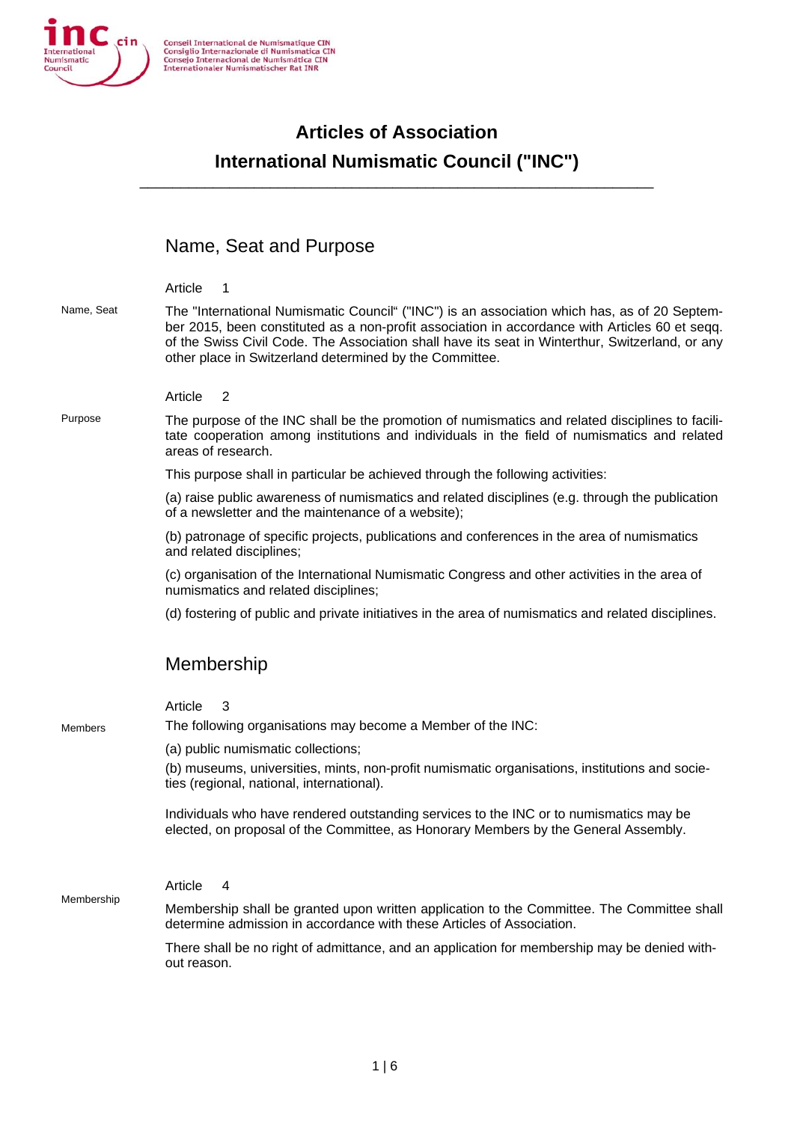

# **Articles of Association International Numismatic Council ("INC")**

\_\_\_\_\_\_\_\_\_\_\_\_\_\_\_\_\_\_\_\_\_\_\_\_\_\_\_\_\_\_\_\_\_\_\_\_\_\_\_\_\_\_\_\_\_\_\_\_\_\_\_\_\_\_\_\_\_\_\_\_\_\_\_

# Name, Seat and Purpose

|            | Article<br>1                                                                                                                                                                                                                                                                                                                                                 |
|------------|--------------------------------------------------------------------------------------------------------------------------------------------------------------------------------------------------------------------------------------------------------------------------------------------------------------------------------------------------------------|
| Name, Seat | The "International Numismatic Council" ("INC") is an association which has, as of 20 Septem-<br>ber 2015, been constituted as a non-profit association in accordance with Articles 60 et seqq.<br>of the Swiss Civil Code. The Association shall have its seat in Winterthur, Switzerland, or any<br>other place in Switzerland determined by the Committee. |
|            | Article<br>$\overline{2}$                                                                                                                                                                                                                                                                                                                                    |
| Purpose    | The purpose of the INC shall be the promotion of numismatics and related disciplines to facili-<br>tate cooperation among institutions and individuals in the field of numismatics and related<br>areas of research.                                                                                                                                         |
|            | This purpose shall in particular be achieved through the following activities:                                                                                                                                                                                                                                                                               |
|            | (a) raise public awareness of numismatics and related disciplines (e.g. through the publication<br>of a newsletter and the maintenance of a website);                                                                                                                                                                                                        |
|            | (b) patronage of specific projects, publications and conferences in the area of numismatics<br>and related disciplines;                                                                                                                                                                                                                                      |
|            | (c) organisation of the International Numismatic Congress and other activities in the area of<br>numismatics and related disciplines;                                                                                                                                                                                                                        |
|            | (d) fostering of public and private initiatives in the area of numismatics and related disciplines.                                                                                                                                                                                                                                                          |
|            | Membership                                                                                                                                                                                                                                                                                                                                                   |
|            |                                                                                                                                                                                                                                                                                                                                                              |
|            | Article<br>3<br>The following organisations may become a Member of the INC:                                                                                                                                                                                                                                                                                  |
| Members    | (a) public numismatic collections;                                                                                                                                                                                                                                                                                                                           |
|            | (b) museums, universities, mints, non-profit numismatic organisations, institutions and socie-<br>ties (regional, national, international).                                                                                                                                                                                                                  |
|            | Individuals who have rendered outstanding services to the INC or to numismatics may be<br>elected, on proposal of the Committee, as Honorary Members by the General Assembly.                                                                                                                                                                                |
| Membership | Article<br>4                                                                                                                                                                                                                                                                                                                                                 |
|            | Membership shall be granted upon written application to the Committee. The Committee shall                                                                                                                                                                                                                                                                   |
|            | determine admission in accordance with these Articles of Association.                                                                                                                                                                                                                                                                                        |
|            | There shall be no right of admittance, and an application for membership may be denied with-<br>out reason.                                                                                                                                                                                                                                                  |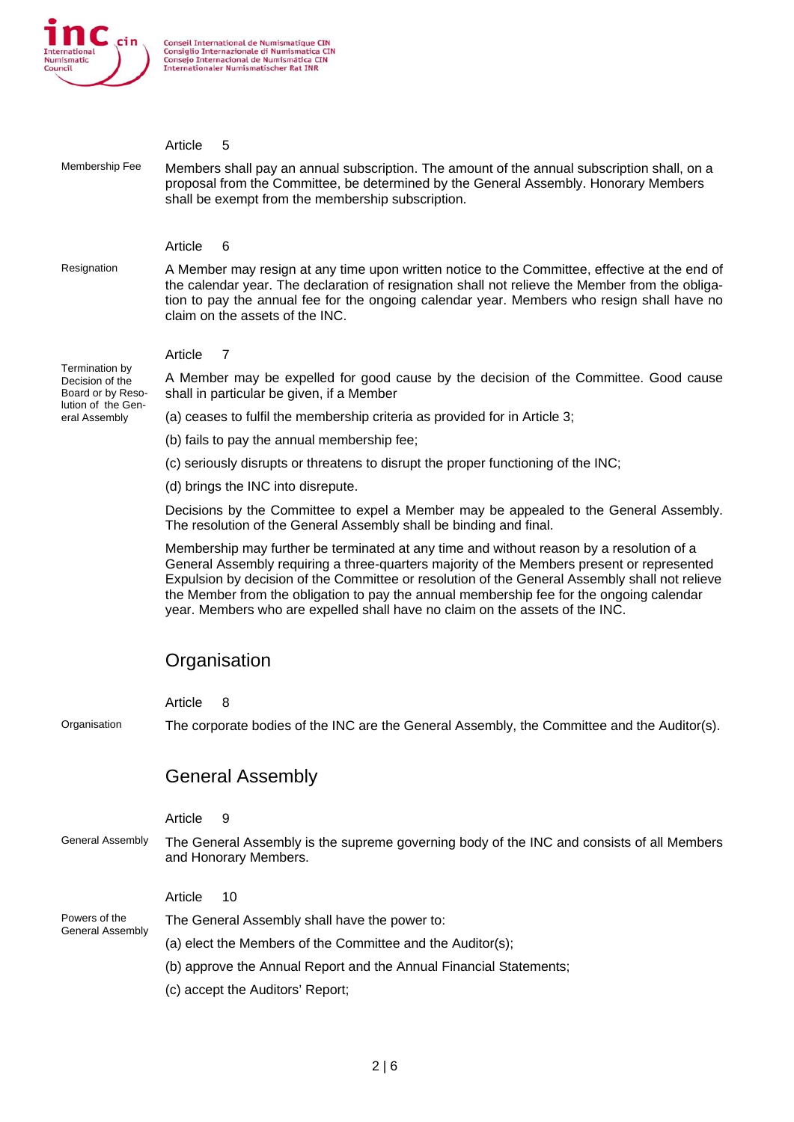

| Membership Fee                                         | Article<br>5                                                                                                                                                                                                                                                                                                                                                                                                                                                         |
|--------------------------------------------------------|----------------------------------------------------------------------------------------------------------------------------------------------------------------------------------------------------------------------------------------------------------------------------------------------------------------------------------------------------------------------------------------------------------------------------------------------------------------------|
|                                                        | Members shall pay an annual subscription. The amount of the annual subscription shall, on a<br>proposal from the Committee, be determined by the General Assembly. Honorary Members<br>shall be exempt from the membership subscription.                                                                                                                                                                                                                             |
|                                                        |                                                                                                                                                                                                                                                                                                                                                                                                                                                                      |
|                                                        | Article<br>6                                                                                                                                                                                                                                                                                                                                                                                                                                                         |
| Resignation                                            | A Member may resign at any time upon written notice to the Committee, effective at the end of<br>the calendar year. The declaration of resignation shall not relieve the Member from the obliga-<br>tion to pay the annual fee for the ongoing calendar year. Members who resign shall have no<br>claim on the assets of the INC.                                                                                                                                    |
|                                                        | Article<br>7                                                                                                                                                                                                                                                                                                                                                                                                                                                         |
| Termination by<br>Decision of the<br>Board or by Reso- | A Member may be expelled for good cause by the decision of the Committee. Good cause<br>shall in particular be given, if a Member                                                                                                                                                                                                                                                                                                                                    |
| lution of the Gen-<br>eral Assembly                    | (a) ceases to fulfil the membership criteria as provided for in Article 3;                                                                                                                                                                                                                                                                                                                                                                                           |
|                                                        | (b) fails to pay the annual membership fee;                                                                                                                                                                                                                                                                                                                                                                                                                          |
|                                                        | (c) seriously disrupts or threatens to disrupt the proper functioning of the INC;                                                                                                                                                                                                                                                                                                                                                                                    |
|                                                        | (d) brings the INC into disrepute.                                                                                                                                                                                                                                                                                                                                                                                                                                   |
|                                                        | Decisions by the Committee to expel a Member may be appealed to the General Assembly.<br>The resolution of the General Assembly shall be binding and final.                                                                                                                                                                                                                                                                                                          |
|                                                        | Membership may further be terminated at any time and without reason by a resolution of a<br>General Assembly requiring a three-quarters majority of the Members present or represented<br>Expulsion by decision of the Committee or resolution of the General Assembly shall not relieve<br>the Member from the obligation to pay the annual membership fee for the ongoing calendar<br>year. Members who are expelled shall have no claim on the assets of the INC. |
|                                                        | Organisation                                                                                                                                                                                                                                                                                                                                                                                                                                                         |
|                                                        |                                                                                                                                                                                                                                                                                                                                                                                                                                                                      |
|                                                        | Article<br>8                                                                                                                                                                                                                                                                                                                                                                                                                                                         |
| Organisation                                           | The corporate bodies of the INC are the General Assembly, the Committee and the Auditor(s).                                                                                                                                                                                                                                                                                                                                                                          |
|                                                        | <b>General Assembly</b>                                                                                                                                                                                                                                                                                                                                                                                                                                              |
|                                                        | Article<br>9                                                                                                                                                                                                                                                                                                                                                                                                                                                         |
| <b>General Assembly</b>                                | The General Assembly is the supreme governing body of the INC and consists of all Members<br>and Honorary Members.                                                                                                                                                                                                                                                                                                                                                   |
|                                                        | Article<br>10                                                                                                                                                                                                                                                                                                                                                                                                                                                        |
| Powers of the<br><b>General Assembly</b>               | The General Assembly shall have the power to:                                                                                                                                                                                                                                                                                                                                                                                                                        |
|                                                        | (a) elect the Members of the Committee and the Auditor(s);                                                                                                                                                                                                                                                                                                                                                                                                           |
|                                                        | (b) approve the Annual Report and the Annual Financial Statements;                                                                                                                                                                                                                                                                                                                                                                                                   |
|                                                        | (c) accept the Auditors' Report;                                                                                                                                                                                                                                                                                                                                                                                                                                     |
|                                                        |                                                                                                                                                                                                                                                                                                                                                                                                                                                                      |
|                                                        |                                                                                                                                                                                                                                                                                                                                                                                                                                                                      |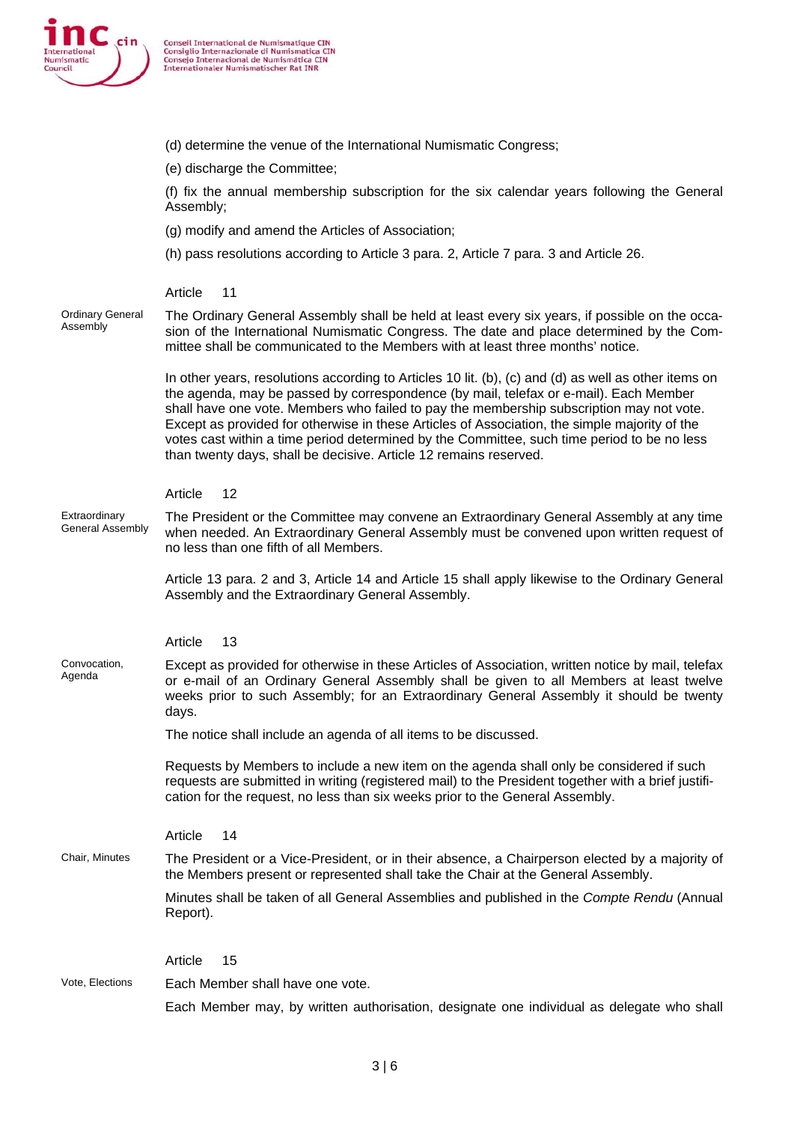

|                                     | (d) determine the venue of the International Numismatic Congress;                                                                                                                                                                                                                                                                                                                                                                                                                                                                                              |
|-------------------------------------|----------------------------------------------------------------------------------------------------------------------------------------------------------------------------------------------------------------------------------------------------------------------------------------------------------------------------------------------------------------------------------------------------------------------------------------------------------------------------------------------------------------------------------------------------------------|
|                                     | (e) discharge the Committee;                                                                                                                                                                                                                                                                                                                                                                                                                                                                                                                                   |
|                                     | (f) fix the annual membership subscription for the six calendar years following the General<br>Assembly;                                                                                                                                                                                                                                                                                                                                                                                                                                                       |
|                                     | (g) modify and amend the Articles of Association;                                                                                                                                                                                                                                                                                                                                                                                                                                                                                                              |
|                                     | (h) pass resolutions according to Article 3 para. 2, Article 7 para. 3 and Article 26.                                                                                                                                                                                                                                                                                                                                                                                                                                                                         |
|                                     |                                                                                                                                                                                                                                                                                                                                                                                                                                                                                                                                                                |
|                                     | Article<br>11                                                                                                                                                                                                                                                                                                                                                                                                                                                                                                                                                  |
| <b>Ordinary General</b><br>Assembly | The Ordinary General Assembly shall be held at least every six years, if possible on the occa-<br>sion of the International Numismatic Congress. The date and place determined by the Com-<br>mittee shall be communicated to the Members with at least three months' notice.                                                                                                                                                                                                                                                                                  |
|                                     | In other years, resolutions according to Articles 10 lit. (b), (c) and (d) as well as other items on<br>the agenda, may be passed by correspondence (by mail, telefax or e-mail). Each Member<br>shall have one vote. Members who failed to pay the membership subscription may not vote.<br>Except as provided for otherwise in these Articles of Association, the simple majority of the<br>votes cast within a time period determined by the Committee, such time period to be no less<br>than twenty days, shall be decisive. Article 12 remains reserved. |
|                                     | 12<br>Article                                                                                                                                                                                                                                                                                                                                                                                                                                                                                                                                                  |
| Extraordinary<br>General Assembly   | The President or the Committee may convene an Extraordinary General Assembly at any time<br>when needed. An Extraordinary General Assembly must be convened upon written request of<br>no less than one fifth of all Members.                                                                                                                                                                                                                                                                                                                                  |
|                                     | Article 13 para. 2 and 3, Article 14 and Article 15 shall apply likewise to the Ordinary General<br>Assembly and the Extraordinary General Assembly.                                                                                                                                                                                                                                                                                                                                                                                                           |
|                                     | Article<br>13                                                                                                                                                                                                                                                                                                                                                                                                                                                                                                                                                  |
| Convocation,<br>Agenda              | Except as provided for otherwise in these Articles of Association, written notice by mail, telefax<br>or e-mail of an Ordinary General Assembly shall be given to all Members at least twelve<br>weeks prior to such Assembly; for an Extraordinary General Assembly it should be twenty<br>days.                                                                                                                                                                                                                                                              |
|                                     | The notice shall include an agenda of all items to be discussed.                                                                                                                                                                                                                                                                                                                                                                                                                                                                                               |
|                                     | Requests by Members to include a new item on the agenda shall only be considered if such<br>requests are submitted in writing (registered mail) to the President together with a brief justifi-<br>cation for the request, no less than six weeks prior to the General Assembly.                                                                                                                                                                                                                                                                               |
|                                     | Article<br>14                                                                                                                                                                                                                                                                                                                                                                                                                                                                                                                                                  |
| Chair, Minutes                      | The President or a Vice-President, or in their absence, a Chairperson elected by a majority of<br>the Members present or represented shall take the Chair at the General Assembly.                                                                                                                                                                                                                                                                                                                                                                             |
|                                     | Minutes shall be taken of all General Assemblies and published in the Compte Rendu (Annual<br>Report).                                                                                                                                                                                                                                                                                                                                                                                                                                                         |
|                                     | Article<br>15                                                                                                                                                                                                                                                                                                                                                                                                                                                                                                                                                  |
| Vote, Elections                     | Each Member shall have one vote.                                                                                                                                                                                                                                                                                                                                                                                                                                                                                                                               |
|                                     | Each Member may, by written authorisation, designate one individual as delegate who shall                                                                                                                                                                                                                                                                                                                                                                                                                                                                      |
|                                     |                                                                                                                                                                                                                                                                                                                                                                                                                                                                                                                                                                |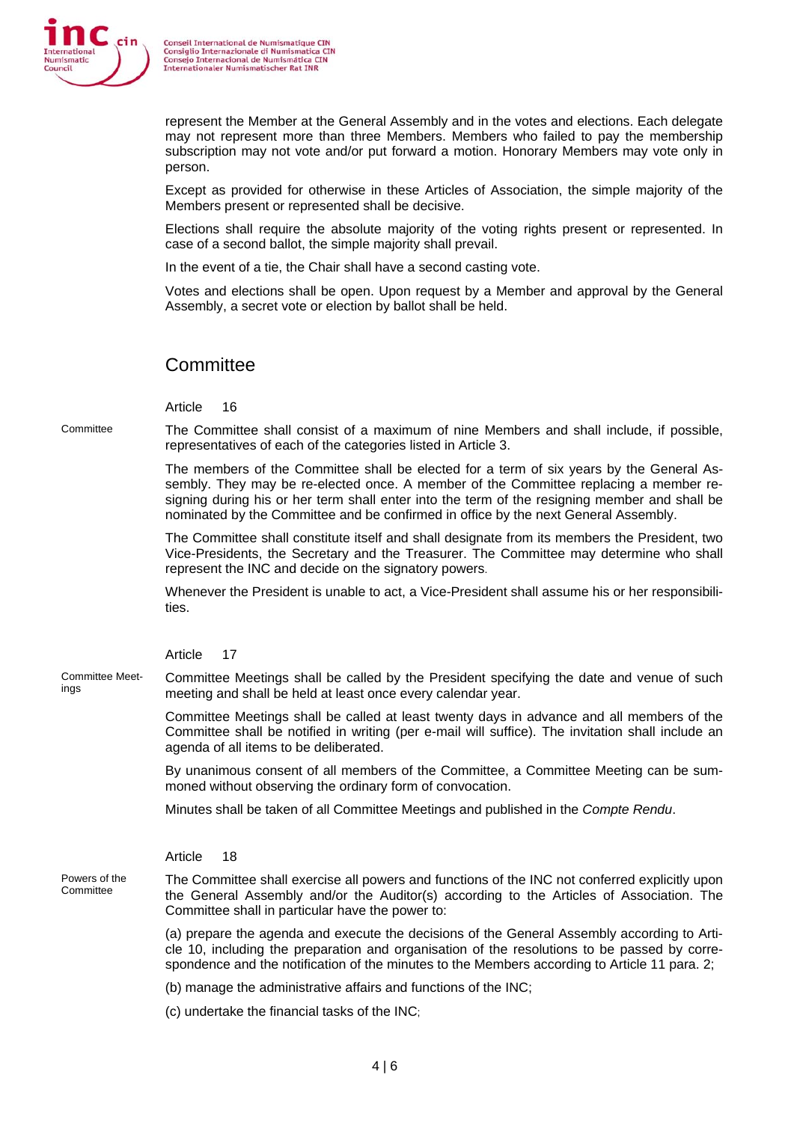

represent the Member at the General Assembly and in the votes and elections. Each delegate may not represent more than three Members. Members who failed to pay the membership subscription may not vote and/or put forward a motion. Honorary Members may vote only in person.

Except as provided for otherwise in these Articles of Association, the simple majority of the Members present or represented shall be decisive.

Elections shall require the absolute majority of the voting rights present or represented. In case of a second ballot, the simple majority shall prevail.

In the event of a tie, the Chair shall have a second casting vote.

Votes and elections shall be open. Upon request by a Member and approval by the General Assembly, a secret vote or election by ballot shall be held.

## **Committee**

Article 16

Committee The Committee shall consist of a maximum of nine Members and shall include, if possible, representatives of each of the categories listed in Article 3.

> The members of the Committee shall be elected for a term of six years by the General Assembly. They may be re-elected once. A member of the Committee replacing a member resigning during his or her term shall enter into the term of the resigning member and shall be nominated by the Committee and be confirmed in office by the next General Assembly.

> The Committee shall constitute itself and shall designate from its members the President, two Vice-Presidents, the Secretary and the Treasurer. The Committee may determine who shall represent the INC and decide on the signatory powers.

> Whenever the President is unable to act, a Vice-President shall assume his or her responsibilities.

Article 17

Committee Meet-Committee Meet-<br>
ings committee Meetings shall be beld at least and our specifying the date and venue of such<br>
ings meeting and shall be held at least once every calendar year.

> Committee Meetings shall be called at least twenty days in advance and all members of the Committee shall be notified in writing (per e-mail will suffice). The invitation shall include an agenda of all items to be deliberated.

> By unanimous consent of all members of the Committee, a Committee Meeting can be summoned without observing the ordinary form of convocation.

Minutes shall be taken of all Committee Meetings and published in the *Compte Rendu*.

Article 18

Powers of the

Powers of the The Committee shall exercise all powers and functions of the INC not conferred explicitly upon<br>Committee the General Assembly and/or the Auditor(s) according to the Articles of Association. The Committee shall in particular have the power to:

> (a) prepare the agenda and execute the decisions of the General Assembly according to Article 10, including the preparation and organisation of the resolutions to be passed by correspondence and the notification of the minutes to the Members according to Article 11 para. 2;

(b) manage the administrative affairs and functions of the INC;

(c) undertake the financial tasks of the INC;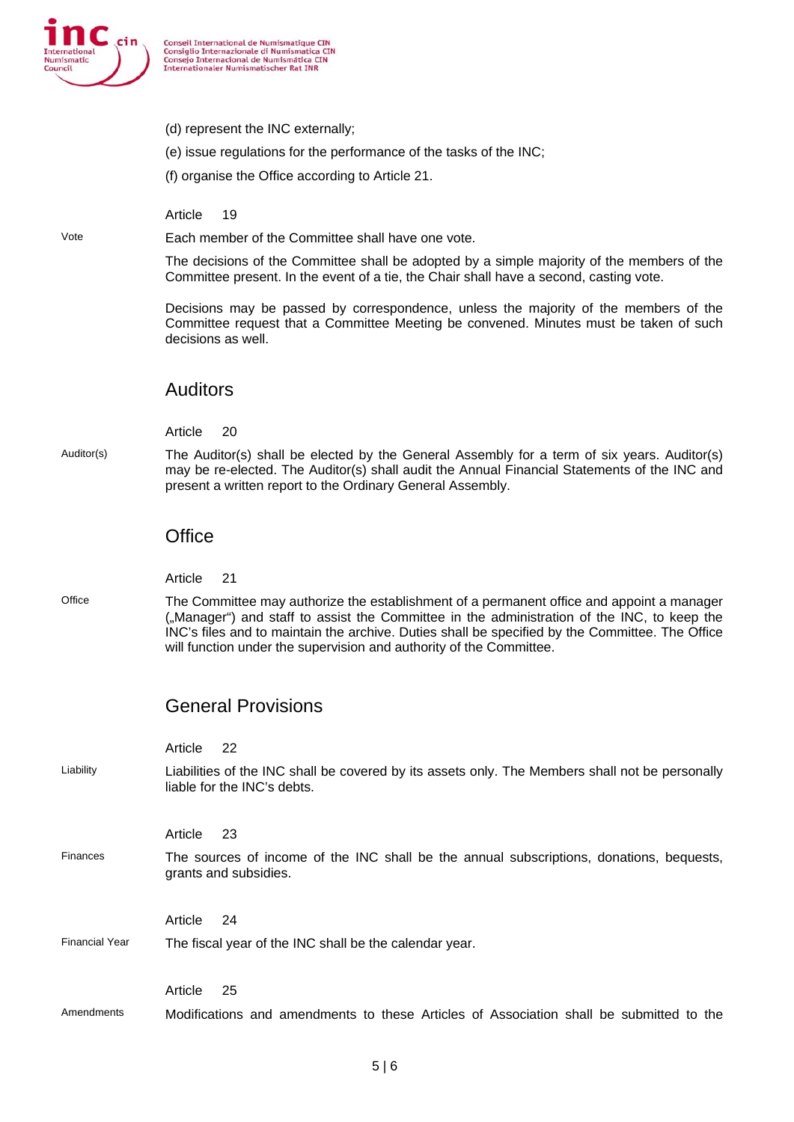

- (d) represent the INC externally;
- (e) issue regulations for the performance of the tasks of the INC;
- (f) organise the Office according to Article 21.

Article 19

Vote Each member of the Committee shall have one vote.

The decisions of the Committee shall be adopted by a simple majority of the members of the Committee present. In the event of a tie, the Chair shall have a second, casting vote.

Decisions may be passed by correspondence, unless the majority of the members of the Committee request that a Committee Meeting be convened. Minutes must be taken of such decisions as well.

#### Auditors

Article 20

Auditor(s) The Auditor(s) shall be elected by the General Assembly for a term of six years. Auditor(s) may be re-elected. The Auditor(s) shall audit the Annual Financial Statements of the INC and present a written report to the Ordinary General Assembly.

#### **Office**

Article 21

Office The Committee may authorize the establishment of a permanent office and appoint a manager ("Manager") and staff to assist the Committee in the administration of the INC, to keep the INC's files and to maintain the archive. Duties shall be specified by the Committee. The Office will function under the supervision and authority of the Committee.

## General Provisions

|                       | 22<br>Article                                                                                                                  |
|-----------------------|--------------------------------------------------------------------------------------------------------------------------------|
| Liability             | Liabilities of the INC shall be covered by its assets only. The Members shall not be personally<br>liable for the INC's debts. |
|                       | -23<br>Article                                                                                                                 |
| Finances              | The sources of income of the INC shall be the annual subscriptions, donations, bequests,<br>grants and subsidies.              |
|                       | 24<br>Article                                                                                                                  |
| <b>Financial Year</b> | The fiscal year of the INC shall be the calendar year.                                                                         |
|                       | Article<br>25                                                                                                                  |
| Amendments            | Modifications and amendments to these Articles of Association shall be submitted to the                                        |